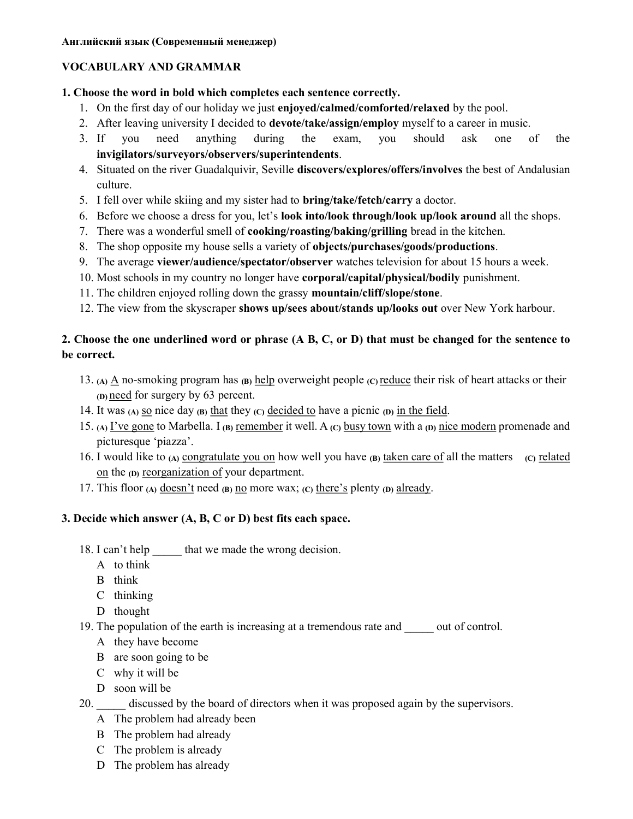# VOCABULARY AND GRAMMAR

## 1. Choose the word in bold which completes each sentence correctly.

- 1. On the first day of our holiday we just enjoyed/calmed/comforted/relaxed by the pool.
- 2. After leaving university I decided to devote/take/assign/employ myself to a career in music.
- 3. If you need anything during the exam, you should ask one of the invigilators/surveyors/observers/superintendents.
- 4. Situated on the river Guadalquivir, Seville discovers/explores/offers/involves the best of Andalusian culture.
- 5. I fell over while skiing and my sister had to bring/take/fetch/carry a doctor.
- 6. Before we choose a dress for you, let's look into/look through/look up/look around all the shops.
- 7. There was a wonderful smell of cooking/roasting/baking/grilling bread in the kitchen.
- 8. The shop opposite my house sells a variety of objects/purchases/goods/productions.
- 9. The average viewer/audience/spectator/observer watches television for about 15 hours a week.
- 10. Most schools in my country no longer have corporal/capital/physical/bodily punishment.
- 11. The children enjoyed rolling down the grassy mountain/cliff/slope/stone.
- 12. The view from the skyscraper shows up/sees about/stands up/looks out over New York harbour.

# 2. Choose the one underlined word or phrase (A B, C, or D) that must be changed for the sentence to be correct.

- 13. (A)  $\Delta$  no-smoking program has (B) help overweight people (C) reduce their risk of heart attacks or their (D) need for surgery by 63 percent.
- 14. It was (A) so nice day (B) that they (C) decided to have a picnic (D) in the field.
- 15. (A) I've gone to Marbella. I (B) remember it well. A (C) busy town with a (D) nice modern promenade and picturesque 'piazza'.
- 16. I would like to (A) congratulate you on how well you have (B) taken care of all the matters (C) related on the (D) reorganization of your department.
- 17. This floor (A) doesn't need (B) no more wax; (C) there's plenty (D) already.

## 3. Decide which answer (A, B, C or D) best fits each space.

- 18. I can't help that we made the wrong decision.
	- A to think
	- B think
	- C thinking
	- D thought
- 19. The population of the earth is increasing at a tremendous rate and out of control.
	- A they have become
	- B are soon going to be
	- C why it will be
	- D soon will be
- 20. discussed by the board of directors when it was proposed again by the supervisors.
	- A The problem had already been
	- B The problem had already
	- C The problem is already
	- D The problem has already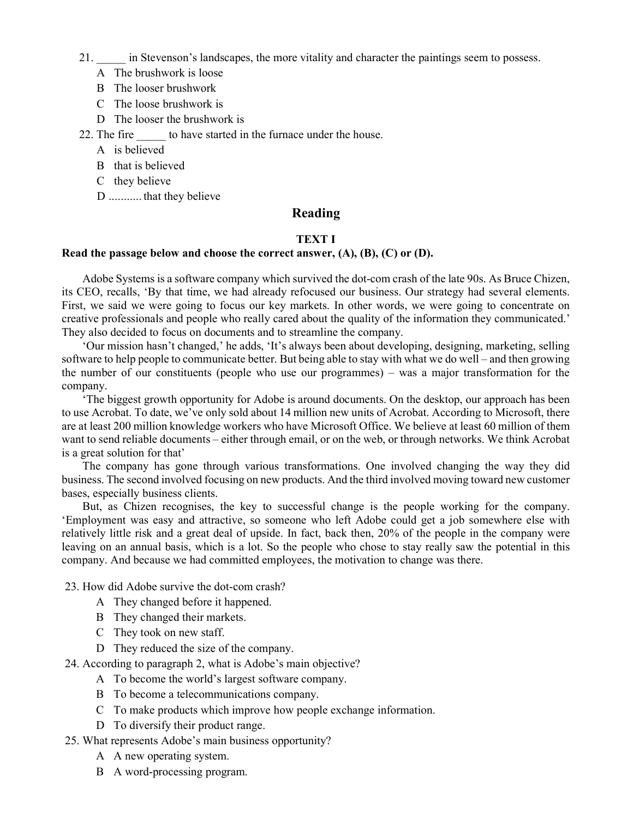21. \_\_\_\_\_ in Stevenson's landscapes, the more vitality and character the paintings seem to possess.

- A The brushwork is loose
- B The looser brushwork
- C The loose brushwork is
- D The looser the brushwork is

22. The fire to have started in the furnace under the house.

- A is believed
- B that is believed
- C they believe
- D ........... that they believe

# Reading

#### TEXT I

#### Read the passage below and choose the correct answer,  $(A)$ ,  $(B)$ ,  $(C)$  or  $(D)$ .

Adobe Systems is a software company which survived the dot-com crash of the late 90s. As Bruce Chizen, its CEO, recalls, 'By that time, we had already refocused our business. Our strategy had several elements. First, we said we were going to focus our key markets. In other words, we were going to concentrate on creative professionals and people who really cared about the quality of the information they communicated.' They also decided to focus on documents and to streamline the company.

'Our mission hasn't changed,' he adds, 'It's always been about developing, designing, marketing, selling software to help people to communicate better. But being able to stay with what we do well – and then growing the number of our constituents (people who use our programmes) – was a major transformation for the company.

'The biggest growth opportunity for Adobe is around documents. On the desktop, our approach has been to use Acrobat. To date, we've only sold about 14 million new units of Acrobat. According to Microsoft, there are at least 200 million knowledge workers who have Microsoft Office. We believe at least 60 million of them want to send reliable documents – either through email, or on the web, or through networks. We think Acrobat is a great solution for that'

The company has gone through various transformations. One involved changing the way they did business. The second involved focusing on new products. And the third involved moving toward new customer bases, especially business clients.

But, as Chizen recognises, the key to successful change is the people working for the company. 'Employment was easy and attractive, so someone who left Adobe could get a job somewhere else with relatively little risk and a great deal of upside. In fact, back then, 20% of the people in the company were leaving on an annual basis, which is a lot. So the people who chose to stay really saw the potential in this company. And because we had committed employees, the motivation to change was there.

23. How did Adobe survive the dot-com crash?

- A They changed before it happened.
- B They changed their markets.
- C They took on new staff.
- D They reduced the size of the company.

24. According to paragraph 2, what is Adobe's main objective?

- A To become the world's largest software company.
- B To become a telecommunications company.
- C To make products which improve how people exchange information.
- D To diversify their product range.
- 25. What represents Adobe's main business opportunity?
	- A A new operating system.
	- B A word-processing program.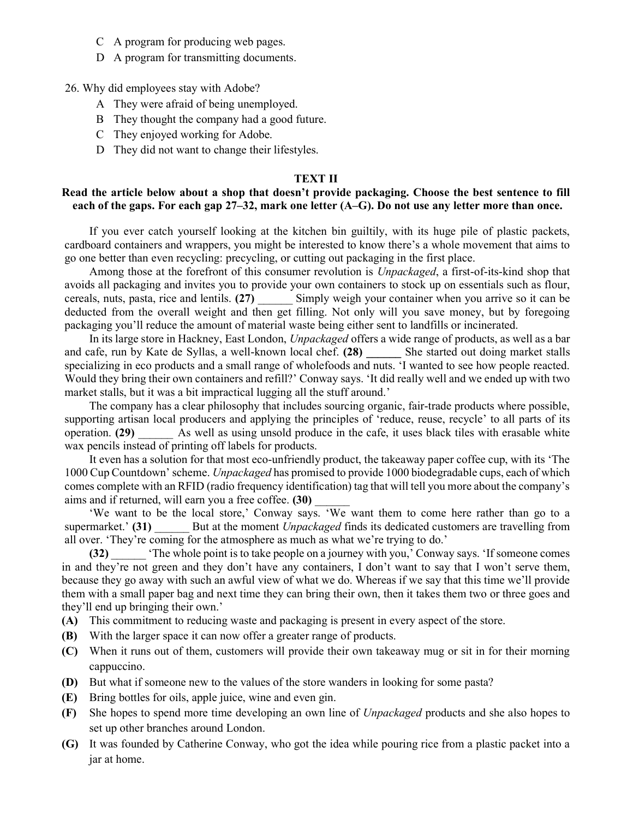- C A program for producing web pages.
- D A program for transmitting documents.

26. Why did employees stay with Adobe?

- A They were afraid of being unemployed.
- B They thought the company had a good future.
- C They enjoyed working for Adobe.
- D They did not want to change their lifestyles.

#### TEXT II

#### Read the article below about a shop that doesn't provide packaging. Choose the best sentence to fill each of the gaps. For each gap 27–32, mark one letter (A–G). Do not use any letter more than once.

If you ever catch yourself looking at the kitchen bin guiltily, with its huge pile of plastic packets, cardboard containers and wrappers, you might be interested to know there's a whole movement that aims to go one better than even recycling: precycling, or cutting out packaging in the first place.

Among those at the forefront of this consumer revolution is *Unpackaged*, a first-of-its-kind shop that avoids all packaging and invites you to provide your own containers to stock up on essentials such as flour, cereals, nuts, pasta, rice and lentils. (27) Simply weigh your container when you arrive so it can be deducted from the overall weight and then get filling. Not only will you save money, but by foregoing packaging you'll reduce the amount of material waste being either sent to landfills or incinerated.

In its large store in Hackney, East London, Unpackaged offers a wide range of products, as well as a bar and cafe, run by Kate de Syllas, a well-known local chef. (28) She started out doing market stalls specializing in eco products and a small range of wholefoods and nuts. 'I wanted to see how people reacted. Would they bring their own containers and refill?' Conway says. 'It did really well and we ended up with two market stalls, but it was a bit impractical lugging all the stuff around.'

The company has a clear philosophy that includes sourcing organic, fair-trade products where possible, supporting artisan local producers and applying the principles of 'reduce, reuse, recycle' to all parts of its operation. (29) As well as using unsold produce in the cafe, it uses black tiles with erasable white wax pencils instead of printing off labels for products.

It even has a solution for that most eco-unfriendly product, the takeaway paper coffee cup, with its 'The 1000 Cup Countdown' scheme. Unpackaged has promised to provide 1000 biodegradable cups, each of which comes complete with an RFID (radio frequency identification) tag that will tell you more about the company's aims and if returned, will earn you a free coffee. (30)

'We want to be the local store,' Conway says. 'We want them to come here rather than go to a supermarket.' (31) But at the moment Unpackaged finds its dedicated customers are travelling from all over. 'They're coming for the atmosphere as much as what we're trying to do.'

(32) \_\_\_\_\_\_ 'The whole point is to take people on a journey with you,' Conway says. 'If someone comes in and they're not green and they don't have any containers, I don't want to say that I won't serve them, because they go away with such an awful view of what we do. Whereas if we say that this time we'll provide them with a small paper bag and next time they can bring their own, then it takes them two or three goes and they'll end up bringing their own.'

- (A) This commitment to reducing waste and packaging is present in every aspect of the store.
- (B) With the larger space it can now offer a greater range of products.
- (C) When it runs out of them, customers will provide their own takeaway mug or sit in for their morning cappuccino.
- (D) But what if someone new to the values of the store wanders in looking for some pasta?
- (E) Bring bottles for oils, apple juice, wine and even gin.
- (F) She hopes to spend more time developing an own line of Unpackaged products and she also hopes to set up other branches around London.
- (G) It was founded by Catherine Conway, who got the idea while pouring rice from a plastic packet into a jar at home.